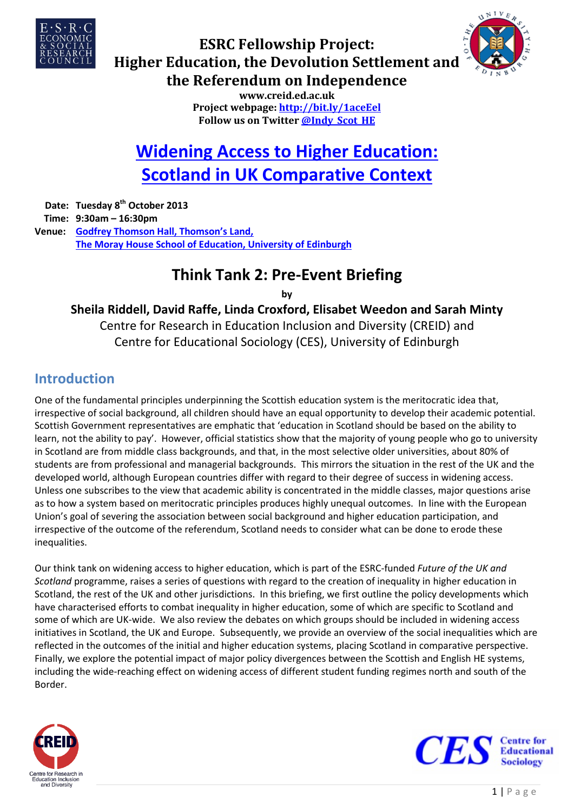



# **ESRC Fellowship Project: Higher Education, the Devolution Settlement and the Referendum on Independence**

**www.creid.ed.ac.uk Project webpage[: http://bit.ly/1aceEel](http://bit.ly/1aceEel) Follow us on Twitte[r @Indy\\_Scot\\_HE](https://twitter.com/Indy_Scot_HE)**

# **[Widening Access to Higher Education:](http://www.ed.ac.uk/schools-departments/education/rke/centres-groups/creid/news-events/events-in-2013/esrc-fellowship-tt2)  [Scotland in UK Comparative Context](http://www.ed.ac.uk/schools-departments/education/rke/centres-groups/creid/news-events/events-in-2013/esrc-fellowship-tt2)**

**Date: Tuesday 8th October 2013 Time: 9:30am – 16:30pm Venue: [Godfrey Thomson Hall, Thomson's Land,](http://edin.ac/11Wizop) [The Moray House School of Education, University of Edinburgh](http://edin.ac/11Wizop)**

# **Think Tank 2: Pre-Event Briefing**

**by**

**Sheila Riddell, David Raffe, Linda Croxford, Elisabet Weedon and Sarah Minty** Centre for Research in Education Inclusion and Diversity (CREID) and Centre for Educational Sociology (CES), University of Edinburgh

### **Introduction**

One of the fundamental principles underpinning the Scottish education system is the meritocratic idea that, irrespective of social background, all children should have an equal opportunity to develop their academic potential. Scottish Government representatives are emphatic that 'education in Scotland should be based on the ability to learn, not the ability to pay'. However, official statistics show that the majority of young people who go to university in Scotland are from middle class backgrounds, and that, in the most selective older universities, about 80% of students are from professional and managerial backgrounds. This mirrors the situation in the rest of the UK and the developed world, although European countries differ with regard to their degree of success in widening access. Unless one subscribes to the view that academic ability is concentrated in the middle classes, major questions arise as to how a system based on meritocratic principles produces highly unequal outcomes. In line with the European Union's goal of severing the association between social background and higher education participation, and irrespective of the outcome of the referendum, Scotland needs to consider what can be done to erode these inequalities.

Our think tank on widening access to higher education, which is part of the ESRC-funded *Future of the UK and Scotland* programme, raises a series of questions with regard to the creation of inequality in higher education in Scotland, the rest of the UK and other jurisdictions. In this briefing, we first outline the policy developments which have characterised efforts to combat inequality in higher education, some of which are specific to Scotland and some of which are UK-wide. We also review the debates on which groups should be included in widening access initiatives in Scotland, the UK and Europe. Subsequently, we provide an overview of the social inequalities which are reflected in the outcomes of the initial and higher education systems, placing Scotland in comparative perspective. Finally, we explore the potential impact of major policy divergences between the Scottish and English HE systems, including the wide-reaching effect on widening access of different student funding regimes north and south of the Border.



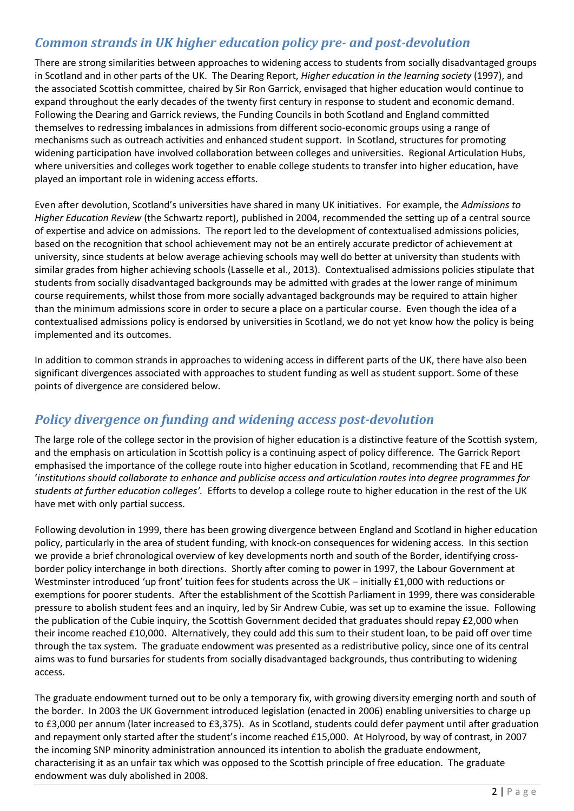### *Common strands in UK higher education policy pre- and post-devolution*

There are strong similarities between approaches to widening access to students from socially disadvantaged groups in Scotland and in other parts of the UK. The Dearing Report, *Higher education in the learning society* (1997), and the associated Scottish committee, chaired by Sir Ron Garrick, envisaged that higher education would continue to expand throughout the early decades of the twenty first century in response to student and economic demand. Following the Dearing and Garrick reviews, the Funding Councils in both Scotland and England committed themselves to redressing imbalances in admissions from different socio-economic groups using a range of mechanisms such as outreach activities and enhanced student support. In Scotland, structures for promoting widening participation have involved collaboration between colleges and universities. Regional Articulation Hubs, where universities and colleges work together to enable college students to transfer into higher education, have played an important role in widening access efforts.

Even after devolution, Scotland's universities have shared in many UK initiatives. For example, the *Admissions to Higher Education Review* (the Schwartz report), published in 2004, recommended the setting up of a central source of expertise and advice on admissions. The report led to the development of contextualised admissions policies, based on the recognition that school achievement may not be an entirely accurate predictor of achievement at university, since students at below average achieving schools may well do better at university than students with similar grades from higher achieving schools (Lasselle et al., 2013). Contextualised admissions policies stipulate that students from socially disadvantaged backgrounds may be admitted with grades at the lower range of minimum course requirements, whilst those from more socially advantaged backgrounds may be required to attain higher than the minimum admissions score in order to secure a place on a particular course. Even though the idea of a contextualised admissions policy is endorsed by universities in Scotland, we do not yet know how the policy is being implemented and its outcomes.

In addition to common strands in approaches to widening access in different parts of the UK, there have also been significant divergences associated with approaches to student funding as well as student support. Some of these points of divergence are considered below.

### *Policy divergence on funding and widening access post-devolution*

The large role of the college sector in the provision of higher education is a distinctive feature of the Scottish system, and the emphasis on articulation in Scottish policy is a continuing aspect of policy difference. The Garrick Report emphasised the importance of the college route into higher education in Scotland, recommending that FE and HE '*institutions should collaborate to enhance and publicise access and articulation routes into degree programmes for students at further education colleges'.* Efforts to develop a college route to higher education in the rest of the UK have met with only partial success.

Following devolution in 1999, there has been growing divergence between England and Scotland in higher education policy, particularly in the area of student funding, with knock-on consequences for widening access. In this section we provide a brief chronological overview of key developments north and south of the Border, identifying crossborder policy interchange in both directions. Shortly after coming to power in 1997, the Labour Government at Westminster introduced 'up front' tuition fees for students across the UK – initially £1,000 with reductions or exemptions for poorer students. After the establishment of the Scottish Parliament in 1999, there was considerable pressure to abolish student fees and an inquiry, led by Sir Andrew Cubie, was set up to examine the issue. Following the publication of the Cubie inquiry, the Scottish Government decided that graduates should repay £2,000 when their income reached £10,000. Alternatively, they could add this sum to their student loan, to be paid off over time through the tax system. The graduate endowment was presented as a redistributive policy, since one of its central aims was to fund bursaries for students from socially disadvantaged backgrounds, thus contributing to widening access.

The graduate endowment turned out to be only a temporary fix, with growing diversity emerging north and south of the border. In 2003 the UK Government introduced legislation (enacted in 2006) enabling universities to charge up to £3,000 per annum (later increased to £3,375). As in Scotland, students could defer payment until after graduation and repayment only started after the student's income reached £15,000. At Holyrood, by way of contrast, in 2007 the incoming SNP minority administration announced its intention to abolish the graduate endowment, characterising it as an unfair tax which was opposed to the Scottish principle of free education. The graduate endowment was duly abolished in 2008.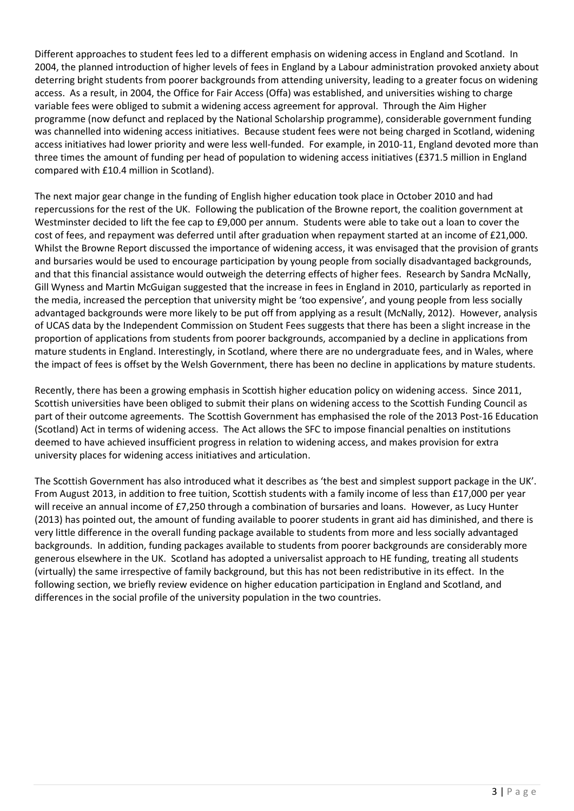Different approaches to student fees led to a different emphasis on widening access in England and Scotland. In 2004, the planned introduction of higher levels of fees in England by a Labour administration provoked anxiety about deterring bright students from poorer backgrounds from attending university, leading to a greater focus on widening access. As a result, in 2004, the Office for Fair Access (Offa) was established, and universities wishing to charge variable fees were obliged to submit a widening access agreement for approval. Through the Aim Higher programme (now defunct and replaced by the National Scholarship programme), considerable government funding was channelled into widening access initiatives. Because student fees were not being charged in Scotland, widening access initiatives had lower priority and were less well-funded. For example, in 2010-11, England devoted more than three times the amount of funding per head of population to widening access initiatives (£371.5 million in England compared with £10.4 million in Scotland).

The next major gear change in the funding of English higher education took place in October 2010 and had repercussions for the rest of the UK. Following the publication of the Browne report, the coalition government at Westminster decided to lift the fee cap to £9,000 per annum. Students were able to take out a loan to cover the cost of fees, and repayment was deferred until after graduation when repayment started at an income of £21,000. Whilst the Browne Report discussed the importance of widening access, it was envisaged that the provision of grants and bursaries would be used to encourage participation by young people from socially disadvantaged backgrounds, and that this financial assistance would outweigh the deterring effects of higher fees. Research by Sandra McNally, Gill Wyness and Martin McGuigan suggested that the increase in fees in England in 2010, particularly as reported in the media, increased the perception that university might be 'too expensive', and young people from less socially advantaged backgrounds were more likely to be put off from applying as a result (McNally, 2012). However, analysis of UCAS data by the Independent Commission on Student Fees suggests that there has been a slight increase in the proportion of applications from students from poorer backgrounds, accompanied by a decline in applications from mature students in England. Interestingly, in Scotland, where there are no undergraduate fees, and in Wales, where the impact of fees is offset by the Welsh Government, there has been no decline in applications by mature students.

Recently, there has been a growing emphasis in Scottish higher education policy on widening access. Since 2011, Scottish universities have been obliged to submit their plans on widening access to the Scottish Funding Council as part of their outcome agreements. The Scottish Government has emphasised the role of the 2013 Post-16 Education (Scotland) Act in terms of widening access. The Act allows the SFC to impose financial penalties on institutions deemed to have achieved insufficient progress in relation to widening access, and makes provision for extra university places for widening access initiatives and articulation.

The Scottish Government has also introduced what it describes as 'the best and simplest support package in the UK'. From August 2013, in addition to free tuition, Scottish students with a family income of less than £17,000 per year will receive an annual income of £7,250 through a combination of bursaries and loans. However, as Lucy Hunter (2013) has pointed out, the amount of funding available to poorer students in grant aid has diminished, and there is very little difference in the overall funding package available to students from more and less socially advantaged backgrounds. In addition, funding packages available to students from poorer backgrounds are considerably more generous elsewhere in the UK. Scotland has adopted a universalist approach to HE funding, treating all students (virtually) the same irrespective of family background, but this has not been redistributive in its effect. In the following section, we briefly review evidence on higher education participation in England and Scotland, and differences in the social profile of the university population in the two countries.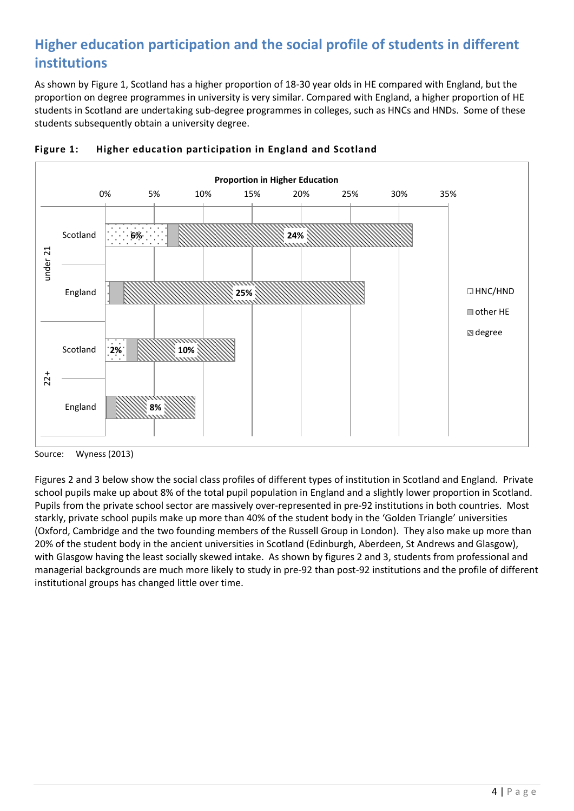# **Higher education participation and the social profile of students in different institutions**

As shown by Figure 1, Scotland has a higher proportion of 18-30 year olds in HE compared with England, but the proportion on degree programmes in university is very similar. Compared with England, a higher proportion of HE students in Scotland are undertaking sub-degree programmes in colleges, such as HNCs and HNDs. Some of these students subsequently obtain a university degree.





Figures 2 and 3 below show the social class profiles of different types of institution in Scotland and England. Private school pupils make up about 8% of the total pupil population in England and a slightly lower proportion in Scotland. Pupils from the private school sector are massively over-represented in pre-92 institutions in both countries. Most starkly, private school pupils make up more than 40% of the student body in the 'Golden Triangle' universities (Oxford, Cambridge and the two founding members of the Russell Group in London). They also make up more than 20% of the student body in the ancient universities in Scotland (Edinburgh, Aberdeen, St Andrews and Glasgow), with Glasgow having the least socially skewed intake. As shown by figures 2 and 3, students from professional and managerial backgrounds are much more likely to study in pre-92 than post-92 institutions and the profile of different institutional groups has changed little over time.

Source: Wyness (2013)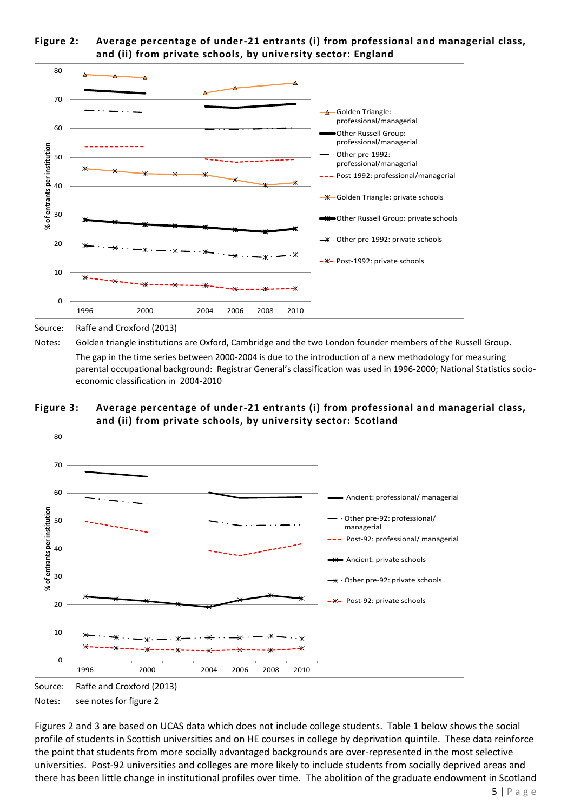



Source: Raffe and Croxford (2013)

Notes: Golden triangle institutions are Oxford, Cambridge and the two London founder members of the Russell Group. The gap in the time series between 2000-2004 is due to the introduction of a new methodology for measuring parental occupational background: Registrar General's classification was used in 1996-2000; National Statistics socioeconomic classification in 2004-2010

**Figure 3: Average percentage of under-21 entrants (i) from professional and managerial class, and (ii) from private schools, by university sector: Scotland**



Source: Raffe and Croxford (2013) Notes: see notes for figure 2

Figures 2 and 3 are based on UCAS data which does not include college students. Table 1 below shows the social profile of students in Scottish universities and on HE courses in college by deprivation quintile. These data reinforce the point that students from more socially advantaged backgrounds are over-represented in the most selective universities. Post-92 universities and colleges are more likely to include students from socially deprived areas and there has been little change in institutional profiles over time. The abolition of the graduate endowment in Scotland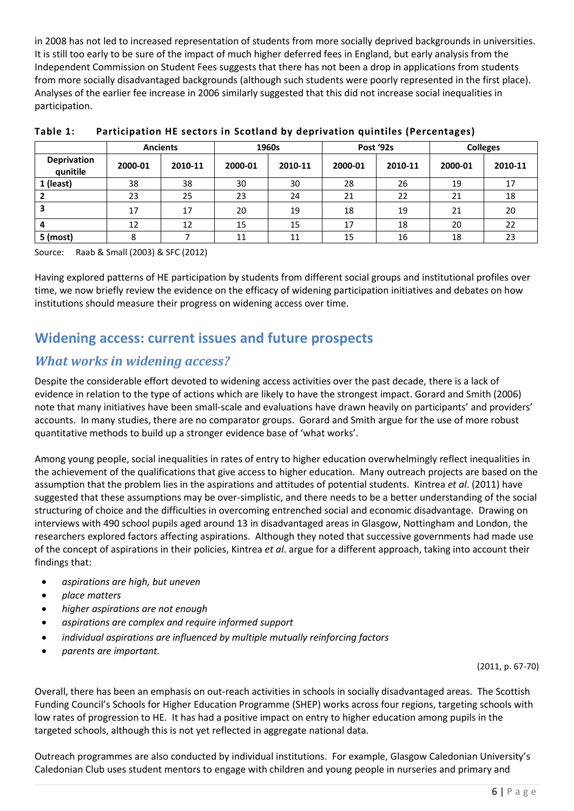in 2008 has not led to increased representation of students from more socially deprived backgrounds in universities. It is still too early to be sure of the impact of much higher deferred fees in England, but early analysis from the Independent Commission on Student Fees suggests that there has not been a drop in applications from students from more socially disadvantaged backgrounds (although such students were poorly represented in the first place). Analyses of the earlier fee increase in 2006 similarly suggested that this did not increase social inequalities in participation.

|                                | <b>Ancients</b> |         | 1960s   |         | Post '92s |         | <b>Colleges</b> |         |
|--------------------------------|-----------------|---------|---------|---------|-----------|---------|-----------------|---------|
| <b>Deprivation</b><br>qunitile | 2000-01         | 2010-11 | 2000-01 | 2010-11 | 2000-01   | 2010-11 | 2000-01         | 2010-11 |
| 1 (least)                      | 38              | 38      | 30      | 30      | 28        | 26      | 19              | 17      |
|                                | 23              | 25      | 23      | 24      | 21        | 22      | 21              | 18      |
|                                | 17              | 17      | 20      | 19      | 18        | 19      | 21              | 20      |
|                                | 12              | 12      | 15      | 15      | 17        | 18      | 20              | 22      |
| 5 (most)                       | 8               |         | 11      | 11      | 15        | 16      | 18              | 23      |

**Table 1: Participation HE sectors in Scotland by deprivation quintiles (Percentages)**

Source: Raab & Small (2003) & SFC (2012)

Having explored patterns of HE participation by students from different social groups and institutional profiles over time, we now briefly review the evidence on the efficacy of widening participation initiatives and debates on how institutions should measure their progress on widening access over time.

### **Widening access: current issues and future prospects**

#### *What works in widening access?*

Despite the considerable effort devoted to widening access activities over the past decade, there is a lack of evidence in relation to the type of actions which are likely to have the strongest impact. Gorard and Smith (2006) note that many initiatives have been small-scale and evaluations have drawn heavily on participants' and providers' accounts. In many studies, there are no comparator groups. Gorard and Smith argue for the use of more robust quantitative methods to build up a stronger evidence base of 'what works'.

Among young people, social inequalities in rates of entry to higher education overwhelmingly reflect inequalities in the achievement of the qualifications that give access to higher education. Many outreach projects are based on the assumption that the problem lies in the aspirations and attitudes of potential students. Kintrea *et al*. (2011) have suggested that these assumptions may be over-simplistic, and there needs to be a better understanding of the social structuring of choice and the difficulties in overcoming entrenched social and economic disadvantage. Drawing on interviews with 490 school pupils aged around 13 in disadvantaged areas in Glasgow, Nottingham and London, the researchers explored factors affecting aspirations. Although they noted that successive governments had made use of the concept of aspirations in their policies, Kintrea *et al*. argue for a different approach, taking into account their findings that:

- *aspirations are high, but uneven*
- *place matters*
- *higher aspirations are not enough*
- *aspirations are complex and require informed support*
- *individual aspirations are influenced by multiple mutually reinforcing factors*
- *parents are important.*

(2011, p. 67-70)

Overall, there has been an emphasis on out-reach activities in schools in socially disadvantaged areas. The Scottish Funding Council's Schools for Higher Education Programme (SHEP) works across four regions, targeting schools with low rates of progression to HE. It has had a positive impact on entry to higher education among pupils in the targeted schools, although this is not yet reflected in aggregate national data.

Outreach programmes are also conducted by individual institutions. For example, Glasgow Caledonian University's Caledonian Club uses student mentors to engage with children and young people in nurseries and primary and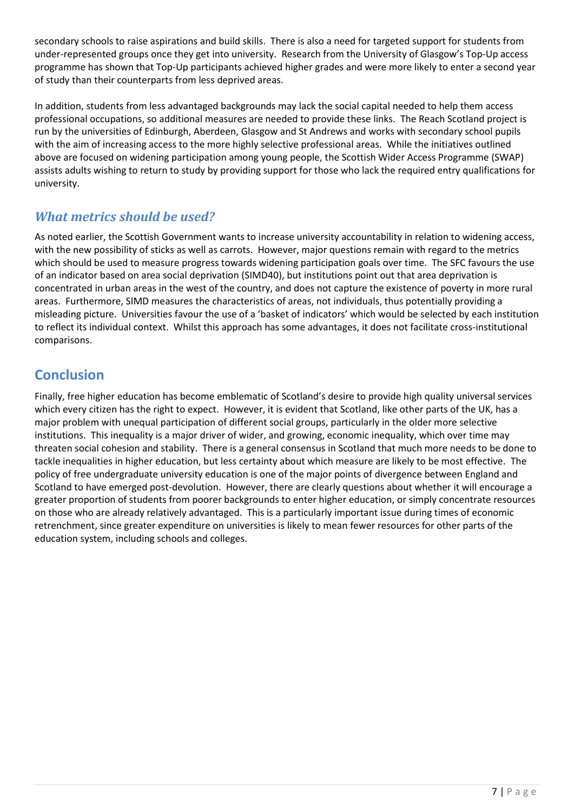secondary schools to raise aspirations and build skills. There is also a need for targeted support for students from under-represented groups once they get into university. Research from the University of Glasgow's Top-Up access programme has shown that Top-Up participants achieved higher grades and were more likely to enter a second year of study than their counterparts from less deprived areas.

In addition, students from less advantaged backgrounds may lack the social capital needed to help them access professional occupations, so additional measures are needed to provide these links. The Reach Scotland project is run by the universities of Edinburgh, Aberdeen, Glasgow and St Andrews and works with secondary school pupils with the aim of increasing access to the more highly selective professional areas. While the initiatives outlined above are focused on widening participation among young people, the Scottish Wider Access Programme (SWAP) assists adults wishing to return to study by providing support for those who lack the required entry qualifications for university.

### *What metrics should be used?*

As noted earlier, the Scottish Government wants to increase university accountability in relation to widening access, with the new possibility of sticks as well as carrots. However, major questions remain with regard to the metrics which should be used to measure progress towards widening participation goals over time. The SFC favours the use of an indicator based on area social deprivation (SIMD40), but institutions point out that area deprivation is concentrated in urban areas in the west of the country, and does not capture the existence of poverty in more rural areas. Furthermore, SIMD measures the characteristics of areas, not individuals, thus potentially providing a misleading picture. Universities favour the use of a 'basket of indicators' which would be selected by each institution to reflect its individual context. Whilst this approach has some advantages, it does not facilitate cross-institutional comparisons.

### **Conclusion**

Finally, free higher education has become emblematic of Scotland's desire to provide high quality universal services which every citizen has the right to expect. However, it is evident that Scotland, like other parts of the UK, has a major problem with unequal participation of different social groups, particularly in the older more selective institutions. This inequality is a major driver of wider, and growing, economic inequality, which over time may threaten social cohesion and stability. There is a general consensus in Scotland that much more needs to be done to tackle inequalities in higher education, but less certainty about which measure are likely to be most effective. The policy of free undergraduate university education is one of the major points of divergence between England and Scotland to have emerged post-devolution. However, there are clearly questions about whether it will encourage a greater proportion of students from poorer backgrounds to enter higher education, or simply concentrate resources on those who are already relatively advantaged. This is a particularly important issue during times of economic retrenchment, since greater expenditure on universities is likely to mean fewer resources for other parts of the education system, including schools and colleges.